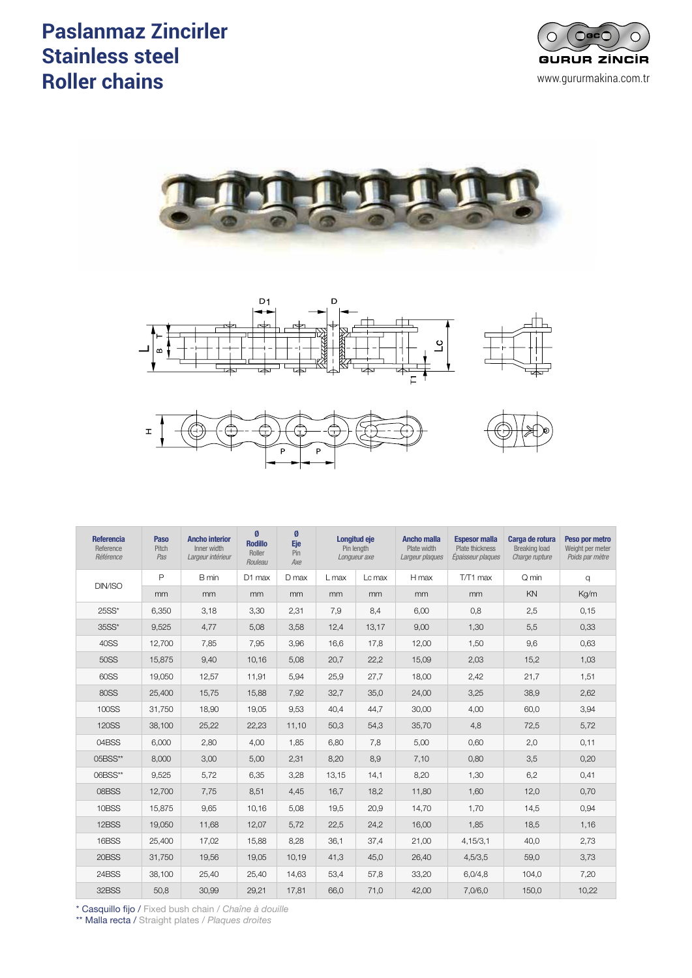# **Paslanmaz Zincirler** de Acero Inoxidades de Acero III de Acero III de Acero III de Acero III de Acero III de A **Stainless steel Roller chains** *Chaînes à rouleaux acier inox*











| <b>Referencia</b><br>Reference<br>Référence | Paso<br>Pitch<br>Pas | <b>Ancho interior</b><br>Inner width<br>Largeur intérieur | Ø<br><b>Rodillo</b><br>Roller<br>Rouleau | Ø<br><b>Eje</b><br>Pin<br>Axe | <b>Longitud eje</b><br>Pin length<br>Longueur axe |        | <b>Ancho malla</b><br>Plate width<br>Largeur plaques | <b>Espesor malla</b><br>Plate thickness<br>Épaisseur plaques | Carga de rotura<br><b>Breaking load</b><br>Charge rupture | Peso por metro<br>Weight per meter<br>Poids par mètre |
|---------------------------------------------|----------------------|-----------------------------------------------------------|------------------------------------------|-------------------------------|---------------------------------------------------|--------|------------------------------------------------------|--------------------------------------------------------------|-----------------------------------------------------------|-------------------------------------------------------|
| DIN/ISO                                     | $\mathsf{P}$         | B min                                                     | D1 max                                   | D max                         | $L$ max                                           | Lc max | H max                                                | T/T1 max                                                     | Q min                                                     | q                                                     |
|                                             | mm                   | mm                                                        | mm                                       | mm                            | mm                                                | mm     | mm                                                   | mm                                                           | KN                                                        | Kg/m                                                  |
| 25SS*                                       | 6,350                | 3,18                                                      | 3,30                                     | 2,31                          | 7,9                                               | 8,4    | 6,00                                                 | 0,8                                                          | 2,5                                                       | 0,15                                                  |
| 35SS*                                       | 9,525                | 4,77                                                      | 5,08                                     | 3,58                          | 12,4                                              | 13,17  | 9,00                                                 | 1,30                                                         | 5,5                                                       | 0,33                                                  |
| 40SS                                        | 12,700               | 7,85                                                      | 7,95                                     | 3,96                          | 16,6                                              | 17,8   | 12,00                                                | 1,50                                                         | 9,6                                                       | 0,63                                                  |
| 50SS                                        | 15.875               | 9,40                                                      | 10,16                                    | 5,08                          | 20,7                                              | 22,2   | 15,09                                                | 2,03                                                         | 15,2                                                      | 1,03                                                  |
| 60SS                                        | 19.050               | 12,57                                                     | 11,91                                    | 5,94                          | 25,9                                              | 27,7   | 18,00                                                | 2,42                                                         | 21,7                                                      | 1,51                                                  |
| <b>80SS</b>                                 | 25,400               | 15,75                                                     | 15,88                                    | 7,92                          | 32,7                                              | 35,0   | 24,00                                                | 3,25                                                         | 38,9                                                      | 2,62                                                  |
| 100SS                                       | 31,750               | 18,90                                                     | 19,05                                    | 9,53                          | 40,4                                              | 44,7   | 30,00                                                | 4,00                                                         | 60,0                                                      | 3,94                                                  |
| <b>120SS</b>                                | 38,100               | 25,22                                                     | 22,23                                    | 11,10                         | 50,3                                              | 54,3   | 35,70                                                | 4,8                                                          | 72,5                                                      | 5,72                                                  |
| 04BSS                                       | 6.000                | 2,80                                                      | 4,00                                     | 1,85                          | 6,80                                              | 7,8    | 5,00                                                 | 0,60                                                         | 2,0                                                       | 0,11                                                  |
| 05BSS**                                     | 8,000                | 3,00                                                      | 5,00                                     | 2,31                          | 8,20                                              | 8,9    | 7,10                                                 | 0,80                                                         | 3,5                                                       | 0,20                                                  |
| 06BSS**                                     | 9,525                | 5,72                                                      | 6,35                                     | 3,28                          | 13,15                                             | 14,1   | 8,20                                                 | 1,30                                                         | 6,2                                                       | 0,41                                                  |
| 08BSS                                       | 12.700               | 7,75                                                      | 8,51                                     | 4,45                          | 16.7                                              | 18,2   | 11,80                                                | 1,60                                                         | 12,0                                                      | 0,70                                                  |
| 10BSS                                       | 15.875               | 9,65                                                      | 10,16                                    | 5,08                          | 19,5                                              | 20,9   | 14,70                                                | 1,70                                                         | 14,5                                                      | 0,94                                                  |
| 12BSS                                       | 19,050               | 11,68                                                     | 12,07                                    | 5,72                          | 22,5                                              | 24,2   | 16,00                                                | 1,85                                                         | 18,5                                                      | 1,16                                                  |
| 16BSS                                       | 25,400               | 17,02                                                     | 15,88                                    | 8,28                          | 36,1                                              | 37,4   | 21,00                                                | 4,15/3,1                                                     | 40,0                                                      | 2,73                                                  |
| 20BSS                                       | 31,750               | 19,56                                                     | 19,05                                    | 10,19                         | 41,3                                              | 45,0   | 26,40                                                | 4,5/3,5                                                      | 59,0                                                      | 3,73                                                  |
| 24BSS                                       | 38,100               | 25,40                                                     | 25,40                                    | 14,63                         | 53,4                                              | 57,8   | 33,20                                                | 6,0/4,8                                                      | 104,0                                                     | 7,20                                                  |
| 32BSS                                       | 50,8                 | 30,99                                                     | 29,21                                    | 17,81                         | 66,0                                              | 71,0   | 42,00                                                | 7,0/6,0                                                      | 150,0                                                     | 10,22                                                 |

\* Casquillo fijo / Fixed bush chain / *Chaîne à douille*

\*\* Malla recta / Straight plates / *Plaques droites*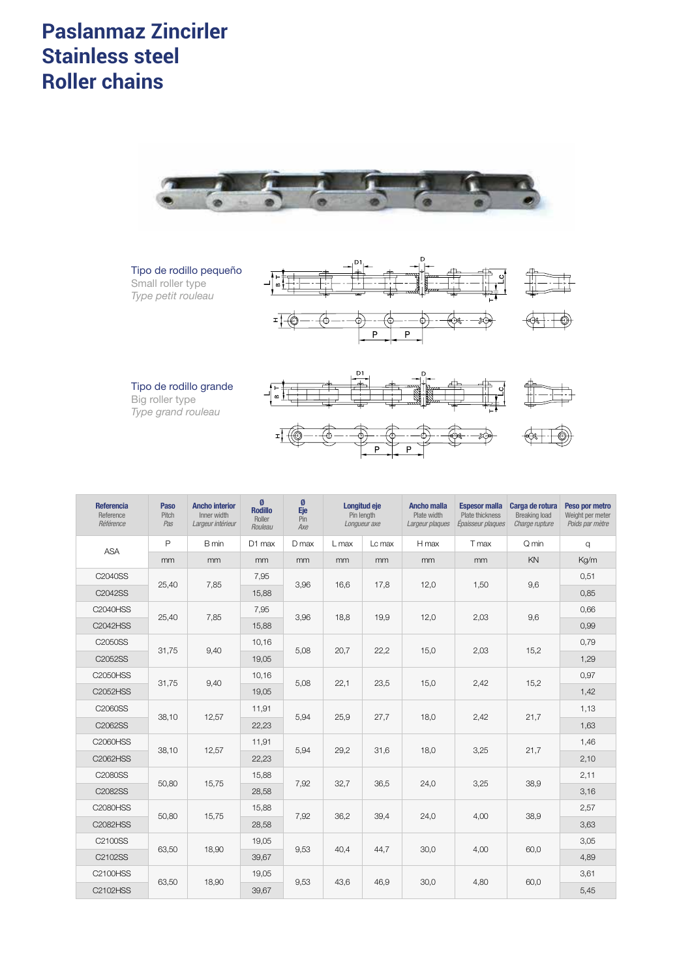# **Paslanmaz Zincirler** de Louis De Louis De Louis De Louis De Louis De Louis De Louis De Louis De Louis De Louis **Stainless steel Roller chains** *Chaînes à rouleaux acier inox double pas*









| <b>Referencia</b><br>Reference<br>Référence | <b>Paso</b><br>Pitch<br>Pas | <b>Ancho interior</b><br>Inner width<br>Largeur intérieur | Ø<br><b>Rodillo</b><br>Roller<br>Rouleau | Ø<br>Eje<br>$P_{\text{in}}$<br>Axe | Longitud eje<br>Pin length<br>Longueur axe |        | <b>Ancho malla</b><br>Plate width<br>Largeur plaques | <b>Espesor malla</b><br>Plate thickness<br>Épaisseur plaques | Carga de rotura<br>Breaking load<br>Charge rupture | Peso por metro<br>Weight per meter<br>Poids par mètre |      |
|---------------------------------------------|-----------------------------|-----------------------------------------------------------|------------------------------------------|------------------------------------|--------------------------------------------|--------|------------------------------------------------------|--------------------------------------------------------------|----------------------------------------------------|-------------------------------------------------------|------|
| <b>ASA</b>                                  | $\mathsf{P}$                | B min                                                     | D1 max                                   | D max                              | L max                                      | Lc max | H max                                                | T max                                                        | Q min                                              | $\alpha$                                              |      |
|                                             | mm                          | mm                                                        | m <sub>m</sub>                           | mm                                 | mm                                         | mm     | mm                                                   | mm                                                           | KN                                                 | Kg/m                                                  |      |
| C2040SS                                     | 25,40                       | 7,85                                                      | 7,95                                     | 3,96                               | 16,6                                       | 17,8   | 12,0                                                 | 1,50                                                         | 9,6                                                | 0,51                                                  |      |
| C2042SS                                     |                             |                                                           | 15,88                                    |                                    |                                            |        |                                                      |                                                              |                                                    | 0,85                                                  |      |
| <b>C2040HSS</b>                             | 25,40                       | 7,85                                                      | 7,95                                     | 3,96                               | 18,8                                       | 19,9   | 12,0                                                 | 2,03                                                         | 9,6                                                | 0,66                                                  |      |
| <b>C2042HSS</b>                             |                             |                                                           | 15,88                                    |                                    |                                            |        |                                                      |                                                              |                                                    | 0,99                                                  |      |
| C2050SS                                     | 31,75                       | 9,40                                                      | 10,16                                    | 5,08                               | 20,7                                       | 22,2   | 15,0                                                 | 2,03                                                         | 15,2                                               | 0,79                                                  |      |
| C2052SS                                     |                             |                                                           | 19,05                                    |                                    |                                            |        |                                                      |                                                              |                                                    | 1,29                                                  |      |
| C2050HSS                                    | 31,75                       | 9,40                                                      | 10,16                                    | 5,08                               | 22,1                                       | 23,5   | 15,0                                                 | 2,42                                                         | 15,2                                               | 0,97                                                  |      |
| <b>C2052HSS</b>                             |                             |                                                           | 19,05                                    |                                    |                                            |        |                                                      |                                                              |                                                    | 1,42                                                  |      |
| C2060SS                                     | 38,10                       | 12,57                                                     | 11,91                                    | 5,94                               | 25.9                                       | 27,7   | 18.0                                                 | 2.42                                                         | 21,7                                               | 1,13                                                  |      |
| C2062SS                                     |                             |                                                           | 22,23                                    |                                    |                                            |        |                                                      |                                                              |                                                    | 1,63                                                  |      |
| <b>C2060HSS</b>                             | 38,10                       | 12,57                                                     | 11,91                                    |                                    | 29,2                                       | 31,6   | 18,0                                                 | 3,25                                                         | 21,7                                               | 1,46                                                  |      |
| C2062HSS                                    |                             |                                                           | 22,23                                    | 5,94                               |                                            |        |                                                      |                                                              |                                                    | 2,10                                                  |      |
| C2080SS                                     |                             |                                                           |                                          | 15,88                              |                                            |        |                                                      |                                                              |                                                    |                                                       | 2,11 |
| C2082SS                                     | 50,80                       | 15,75                                                     | 28,58                                    | 7,92                               | 32,7                                       | 36,5   | 24,0                                                 | 3,25                                                         | 38,9                                               | 3,16                                                  |      |
| <b>C2080HSS</b>                             |                             |                                                           | 15,88                                    |                                    |                                            |        |                                                      |                                                              |                                                    | 2,57                                                  |      |
| C2082HSS                                    | 50,80                       | 15,75                                                     | 28,58                                    | 7,92                               | 36,2                                       | 39,4   | 24,0                                                 | 4,00                                                         | 38,9                                               | 3,63                                                  |      |
| C2100SS                                     |                             |                                                           | 19.05<br>18,90                           | 9,53                               | 40,4                                       | 44,7   | 30,0                                                 | 4,00                                                         |                                                    | 3,05                                                  |      |
| C2102SS                                     | 63,50                       |                                                           | 39,67                                    |                                    |                                            |        |                                                      |                                                              | 60,0                                               | 4,89                                                  |      |
| C2100HSS                                    | 63,50                       | 18,90                                                     | 19,05                                    |                                    | 43,6                                       | 46,9   | 30,0                                                 |                                                              |                                                    | 3,61                                                  |      |
| C2102HSS                                    |                             |                                                           | 9,53<br>39,67                            |                                    |                                            |        |                                                      | 4,80                                                         | 60,0                                               | 5,45                                                  |      |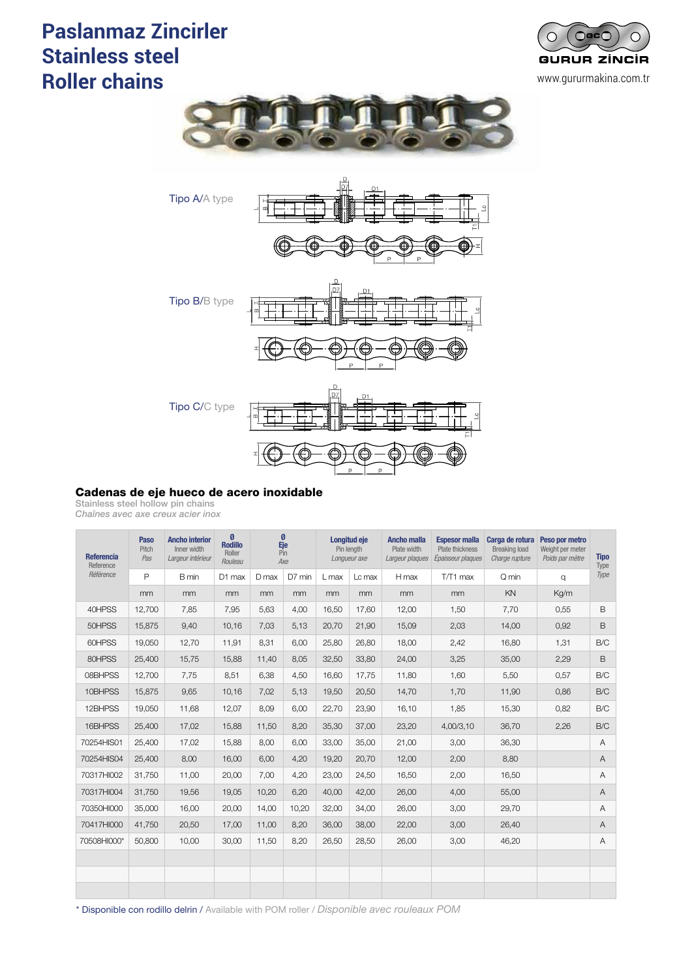# **Paslanmaz Zincirler** de Acero Inoxidades de Acero III de Acero III de Acero III de Acero III de Acero III de A **Stainless steel Roller chains** *Chaînes acier inox avec axe creux*







### Cadenas de eje hueco de acero inoxidable

Stainless steel hollow pin chains

*Chaînes avec axe creux acier inox*

| <b>Referencia</b><br>Reference<br>Référence | Paso<br>Pitch<br>Pas | <b>Ancho interior</b><br>Inner width<br>Largeur intérieur | $\boldsymbol{\emptyset}$<br><b>Rodillo</b><br>Roller<br>Rouleau | Ø<br>Eje<br>Pin<br>Axe |        | Longitud eje<br>Pin length<br>Longueur axe |                | <b>Ancho malla</b><br>Plate width<br>Largeur plaques | <b>Espesor malla</b><br>Plate thickness<br>Épaisseur plaques | Carga de rotura<br>Breaking load<br>Charge rupture | Peso por metro<br>Weight per meter<br>Poids par mètre | <b>Tipo</b><br>Type |
|---------------------------------------------|----------------------|-----------------------------------------------------------|-----------------------------------------------------------------|------------------------|--------|--------------------------------------------|----------------|------------------------------------------------------|--------------------------------------------------------------|----------------------------------------------------|-------------------------------------------------------|---------------------|
|                                             | $\mathsf{P}$         | B min                                                     | D1 max                                                          | D max                  | D7 min | L max                                      | Lc max         | H max                                                | T/T1 max                                                     | Q min                                              | q                                                     | Type                |
|                                             | mm                   | mm                                                        | mm                                                              | mm                     | mm     | mm                                         | m <sub>m</sub> | mm                                                   | mm                                                           | KN                                                 | Kg/m                                                  |                     |
| 40HPSS                                      | 12.700               | 7.85                                                      | 7,95                                                            | 5,63                   | 4,00   | 16.50                                      | 17,60          | 12,00                                                | 1,50                                                         | 7,70                                               | 0,55                                                  | B                   |
| 50HPSS                                      | 15,875               | 9,40                                                      | 10,16                                                           | 7,03                   | 5,13   | 20,70                                      | 21,90          | 15,09                                                | 2,03                                                         | 14,00                                              | 0,92                                                  | B                   |
| 60HPSS                                      | 19.050               | 12.70                                                     | 11.91                                                           | 8.31                   | 6.00   | 25.80                                      | 26.80          | 18.00                                                | 2,42                                                         | 16.80                                              | 1,31                                                  | B/C                 |
| 80HPSS                                      | 25,400               | 15,75                                                     | 15,88                                                           | 11,40                  | 8,05   | 32,50                                      | 33,80          | 24,00                                                | 3,25                                                         | 35,00                                              | 2,29                                                  | B                   |
| 08BHPSS                                     | 12,700               | 7,75                                                      | 8,51                                                            | 6,38                   | 4,50   | 16.60                                      | 17,75          | 11,80                                                | 1.60                                                         | 5,50                                               | 0,57                                                  | B/C                 |
| 10BHPSS                                     | 15,875               | 9,65                                                      | 10,16                                                           | 7,02                   | 5,13   | 19,50                                      | 20,50          | 14,70                                                | 1,70                                                         | 11,90                                              | 0,86                                                  | B/C                 |
| 12BHPSS                                     | 19,050               | 11,68                                                     | 12,07                                                           | 8,09                   | 6,00   | 22,70                                      | 23,90          | 16,10                                                | 1,85                                                         | 15,30                                              | 0,82                                                  | B/C                 |
| 16BHPSS                                     | 25,400               | 17,02                                                     | 15,88                                                           | 11,50                  | 8,20   | 35,30                                      | 37,00          | 23,20                                                | 4,00/3,10                                                    | 36,70                                              | 2,26                                                  | B/C                 |
| 70254HIS01                                  | 25,400               | 17,02                                                     | 15,88                                                           | 8,00                   | 6,00   | 33,00                                      | 35,00          | 21,00                                                | 3,00                                                         | 36,30                                              |                                                       | A                   |
| 70254HIS04                                  | 25,400               | 8,00                                                      | 16,00                                                           | 6,00                   | 4,20   | 19,20                                      | 20,70          | 12,00                                                | 2,00                                                         | 8,80                                               |                                                       | A                   |
| 70317HI002                                  | 31.750               | 11,00                                                     | 20,00                                                           | 7,00                   | 4,20   | 23,00                                      | 24,50          | 16,50                                                | 2,00                                                         | 16,50                                              |                                                       | Α                   |
| 70317HI004                                  | 31,750               | 19,56                                                     | 19,05                                                           | 10,20                  | 6,20   | 40,00                                      | 42,00          | 26,00                                                | 4,00                                                         | 55,00                                              |                                                       | Α                   |
| 70350HI000                                  | 35,000               | 16.00                                                     | 20,00                                                           | 14,00                  | 10,20  | 32,00                                      | 34,00          | 26.00                                                | 3,00                                                         | 29.70                                              |                                                       | Α                   |
| 70417HI000                                  | 41,750               | 20,50                                                     | 17,00                                                           | 11,00                  | 8,20   | 36,00                                      | 38,00          | 22,00                                                | 3,00                                                         | 26,40                                              |                                                       | Α                   |
| 70508HI000*                                 | 50,800               | 10,00                                                     | 30,00                                                           | 11,50                  | 8,20   | 26,50                                      | 28,50          | 26,00                                                | 3,00                                                         | 46,20                                              |                                                       | Α                   |
|                                             |                      |                                                           |                                                                 |                        |        |                                            |                |                                                      |                                                              |                                                    |                                                       |                     |
|                                             |                      |                                                           |                                                                 |                        |        |                                            |                |                                                      |                                                              |                                                    |                                                       |                     |
|                                             |                      |                                                           |                                                                 |                        |        |                                            |                |                                                      |                                                              |                                                    |                                                       |                     |

\* Disponible con rodillo delrin / Available with POM roller / *Disponible avec rouleaux POM*